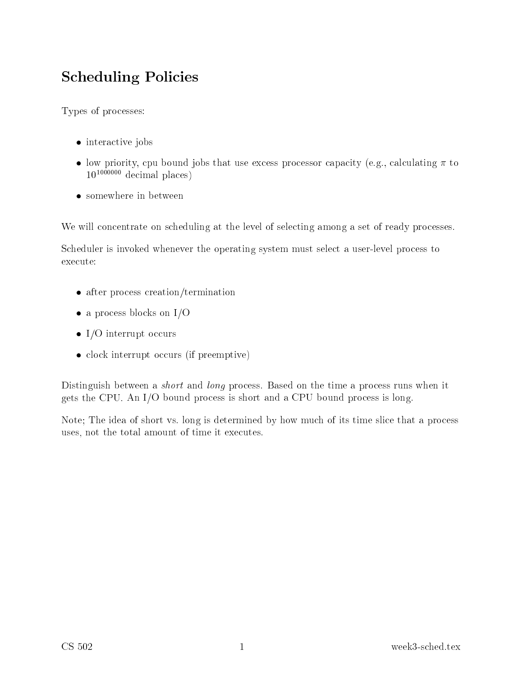# **Scheduling Policies**

Types of processes:

- $\bullet$  interactive jobs
- low priority, cpu bound jobs that use excess processor capacity (e.g., calculating  $\pi$  to  $10^{1000000}$  decimal places)
- somewhere in between

We will concentrate on scheduling at the level of selecting among a set of ready processes.

Scheduler is invoked whenever the operating system must select a user-level process to execute:

- $\bullet$  after process creation/termination
- a process blocks on  $I/O$
- I/O interrupt occurs
- clock interrupt occurs (if preemptive)

Distinguish between a *short* and *long* process. Based on the time a process runs when it gets the CPU. An I/O bound process is short and a CPU bound process is long.

Note; The idea of short vs. long is determined by how much of its time slice that a process uses, not the total amount of time it executes.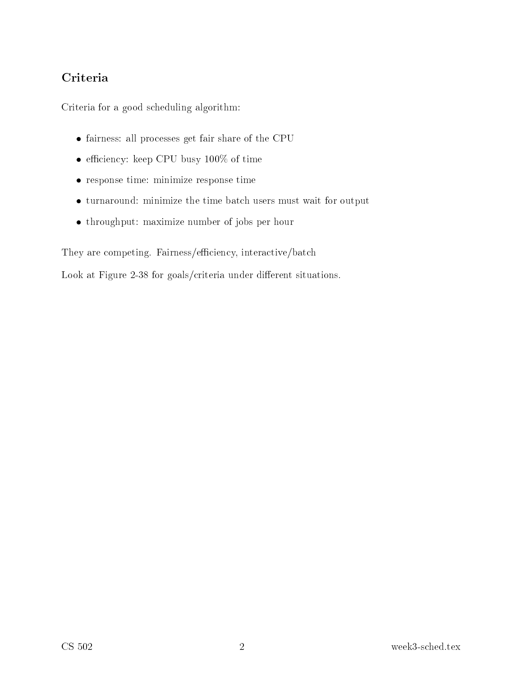Criteria for a good s
heduling algorithm:

- fairness: all pro
esses get fair share of the CPU
- efficiency: keep CPU busy  $100\%$  of time
- response time: minimize response time
- turnaround: minimize the time bat
h users must wait for output
- throughput: maximize number of jobs per hour

They are competing. Fairness/efficiency, interactive/batch

Look at Figure 2-38 for goals/criteria under different situations.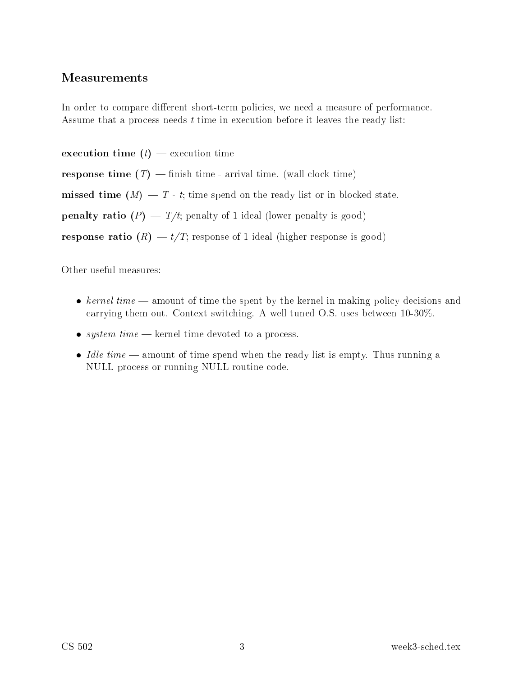In order to compare different short-term policies, we need a measure of performance. Assume that a process needs t time in execution before it leaves the ready list:

execution time  $(t)$  — execution time **response time**  $(T)$  — finish time - arrival time. (wall clock time) missed time  $(M) - T$  - t; time spend on the ready list or in blocked state. **penalty ratio**  $(P) - T/t$ ; penalty of 1 ideal (lower penalty is good) **response ratio**  $(R) - t/T$ ; response of 1 ideal (higher response is good)

Other useful measures:

- kernel time  $\equiv$  amount of time the spent by the kernel in making policy decisions and arrying them out. Context swit
hing. A well tuned O.S. uses between 10-30%.
- system  $time$  kernel time devoted to a process.
- $\bullet$  *Idle time* amount of time spend when the ready list is empty. Thus running a NULL pro
ess or running NULL routine ode.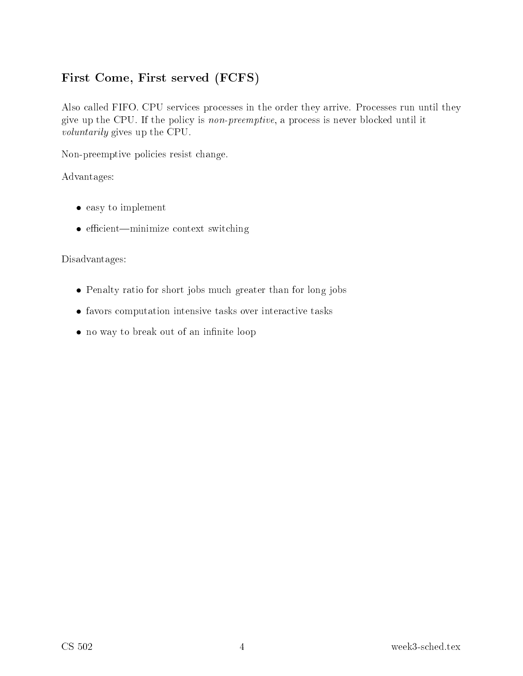#### First Come, First served (FCFS)

Also called FIFO. CPU services processes in the order they arrive. Processes run until they give up the CPU. If the policy is *non-preemptive*, a process is never blocked until it *voluntarily* gives up the CPU.

Non-preemptive policies resist change.

Advantages:

- $\bullet$  easy to implement
- efficient—minimize context switching

#### Disadvantages:

- Penalty ratio for short jobs much greater than for long jobs
- favors computation intensive tasks over interactive tasks
- no way to break out of an infinite loop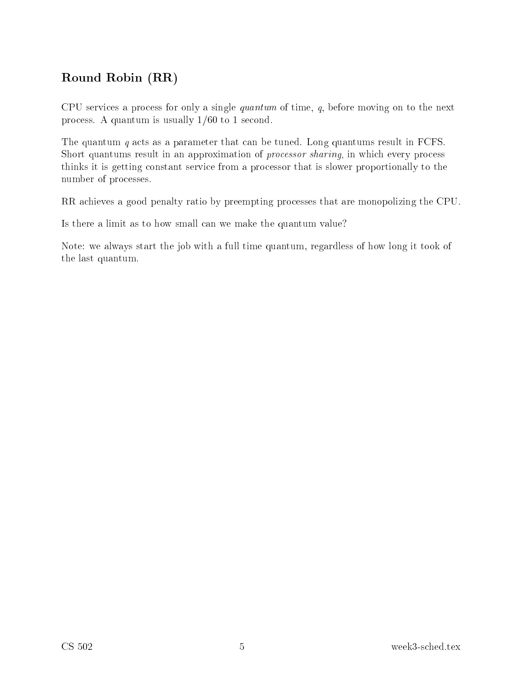### Robin (Reduction (Reduction)

CPU services a process for only a single *quantum* of time,  $q$ , before moving on to the next process. A quantum is usually  $1/60$  to 1 second.

The quantum  $q$  acts as a parameter that can be tuned. Long quantums result in FCFS. Short quantums result in an approximation of *processor sharing*, in which every process thinks it is getting onstant servi
e from a pro
essor that is slower proportionally to the number of pro
esses.

RR achieves a good penalty ratio by preempting processes that are monopolizing the CPU.

Is there a limit as to how small an we make the quantum value?

Note: we always start the job with a full time quantum, regardless of how long it took of the last quantum.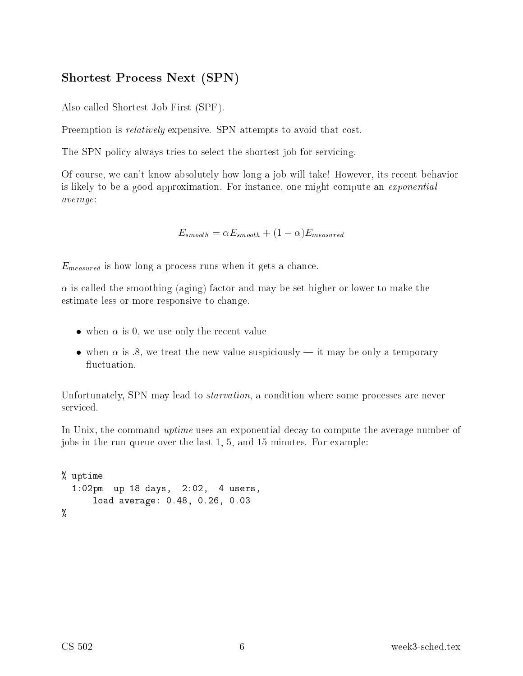#### Shortest Pro
ess Next (SPN)

Also alled Shortest Job First (SPF).

Preemption is *relatively* expensive. SPN attempts to avoid that cost.

The SPN policy always tries to select the shortest job for servicing.

Of ourse, we an't know absolutely how long a job will take! However, its re
ent behavior is likely to be a good approximation. For instance, one might compute an *exponential* average:

 $E_{smooth} = \alpha E_{smooth} + (1 - \alpha)E_{measured}$ 

 $E_{measured}$  is how long a process runs when it gets a chance.

 $\alpha$  is called the smoothing (aging) factor and may be set higher or lower to make the estimate less or more responsive to hange.

- when  $\alpha$  is 0, we use only the recent value
- when  $\alpha$  is .8, we treat the new value suspiciously it may be only a temporary fluctuation.

Unfortunately, SPN may lead to *starvation*, a condition where some processes are never

In Unix, the command *uptime* uses an exponential decay to compute the average number of jobs in the run queue over the last 1, 5, and 15 minutes. For example:

```
\sim up to \sim \sim1:02pm up 18 days, 2:02, 4 users,
       load average: 0.48, 0.26, 0.03
\cdots
```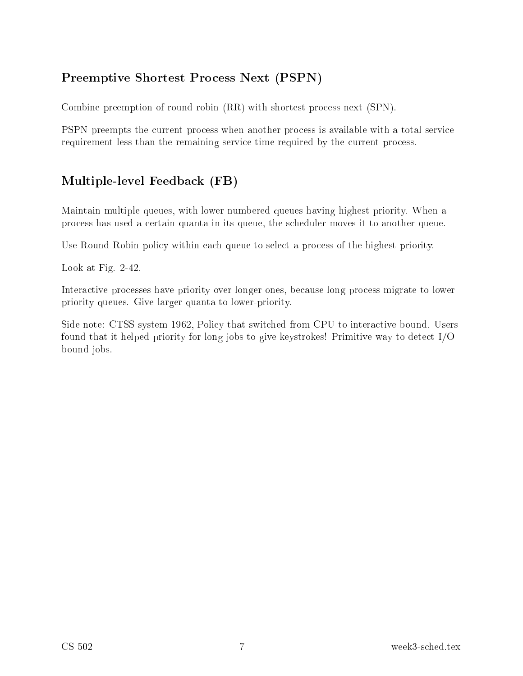### Preemptive Shortest Pro
ess Next (PSPN)

Combine preemption of round robin (RR) with shortest process next (SPN).

PSPN preempts the current process when another process is available with a total service requirement less than the remaining service time required by the current process.

### multiple-level Feedback (FB)

Maintain multiple queues, with lower numbered queues having highest priority. When a pro
ess has used a ertain quanta in its queue, the s
heduler moves it to another queue.

Use Round Robin policy within each queue to select a process of the highest priority.

Look at Fig. 2-42.

Interactive processes have priority over longer ones, because long process migrate to lower priority queues. Give larger quanta to lower-priority.

Side note: CTSS system 1962, Policy that switched from CPU to interactive bound. Users found that it helped priority for long jobs to give keystrokes! Primitive way to dete
t I/O bound jobs.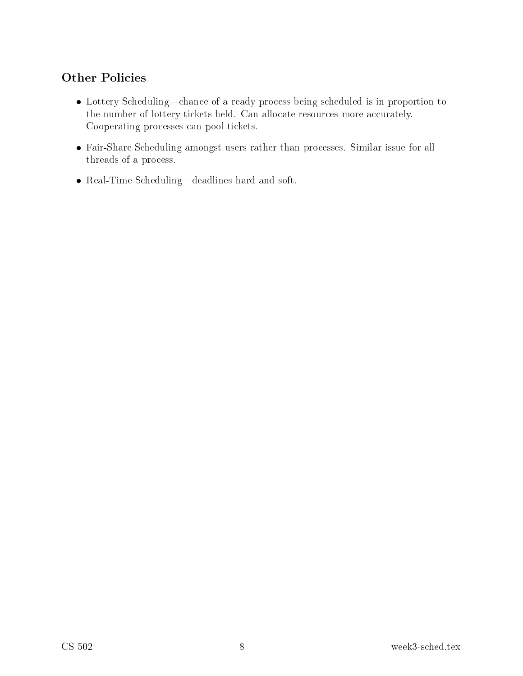- Lottery Scheduling—chance of a ready process being scheduled is in proportion to the number of lottery tickets held. Can allocate resources more accurately. Cooperating pro
esses an pool ti
kets.
- Fair-Share S
heduling amongst users rather than pro
esses. Similar issue for all threads of a pro
ess.
- Real-Time Scheduling—deadlines hard and soft.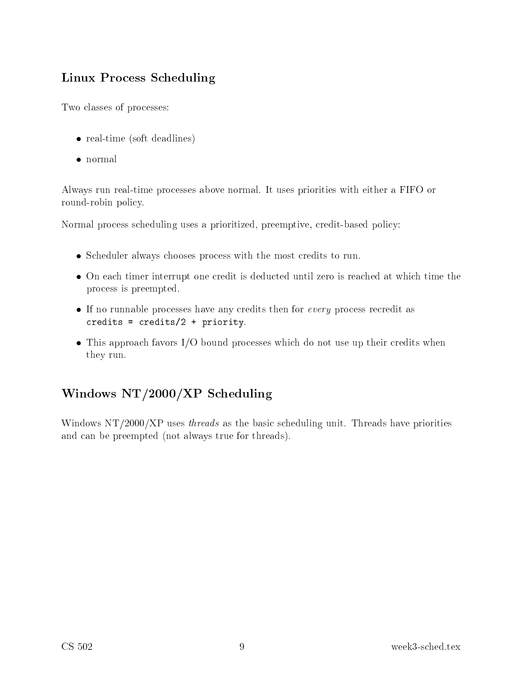### Linux Pro
ess S
heduling

Two lasses of pro
esses:

- real-time (soft deadlines)
- normal

Always run real-time pro
esses above normal. It uses priorities with either a FIFO or round-robin poli
y.

Normal process scheduling uses a prioritized, preemptive, credit-based policy:

- Scheduler always chooses process with the most credits to run.
- On each timer interrupt one credit is deducted until zero is reached at which time the pro
ess is preempted.
- If no runnable processes have any credits then for *every* process recredit as redits = redits = redits = redits = redits = redits = redits = reduction = reduction = reduction = reduction =
- This approach favors I/O bound processes which do not use up their credits when they run.

## windows  $\frac{1}{2}$  .  $\frac{1}{2}$  ,  $\frac{1}{2}$  s  $\frac{1}{2}$  ,  $\frac{1}{2}$  s  $\frac{1}{2}$  . The set of the set of  $\frac{1}{2}$

Windows  $NT/2000/XP$  uses *threads* as the basic scheduling unit. Threads have priorities and can be preempted (not always true for threads).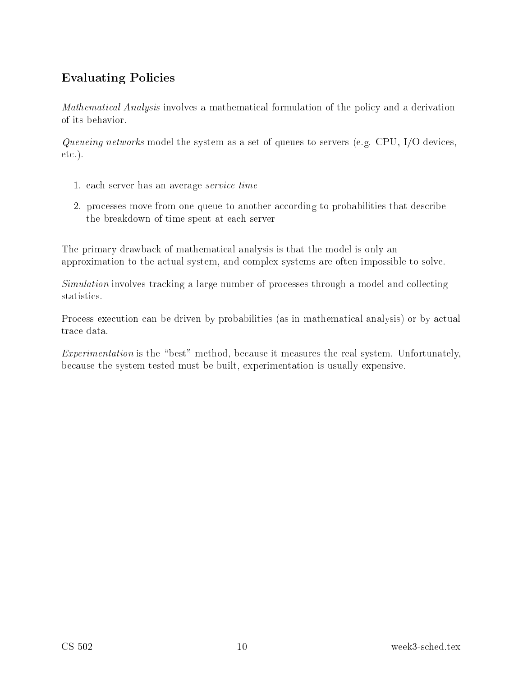### Evaluating Poli
ies

Mathematical Analysis involves a mathematical formulation of the policy and a derivation of its behavior.

Queueing networks model the system as a set of queues to servers (e.g. CPU,  $I/O$  devices, etc.).

- 1. each server has an average *service time*
- 2. processes move from one queue to another according to probabilities that describe the breakdown of time spent at ea
h server

The primary drawba
k of mathemati
al analysis is that the model is only an approximation to the a
tual system, and omplex systems are often impossible to solve.

Simulation involves tracking a large number of processes through a model and collecting statisti
s.

Process execution can be driven by probabilities (as in mathematical analysis) or by actual trace data.

Experimentation is the "best" method, because it measures the real system. Unfortunately, be
ause the system tested must be built, experimentation is usually expensive.